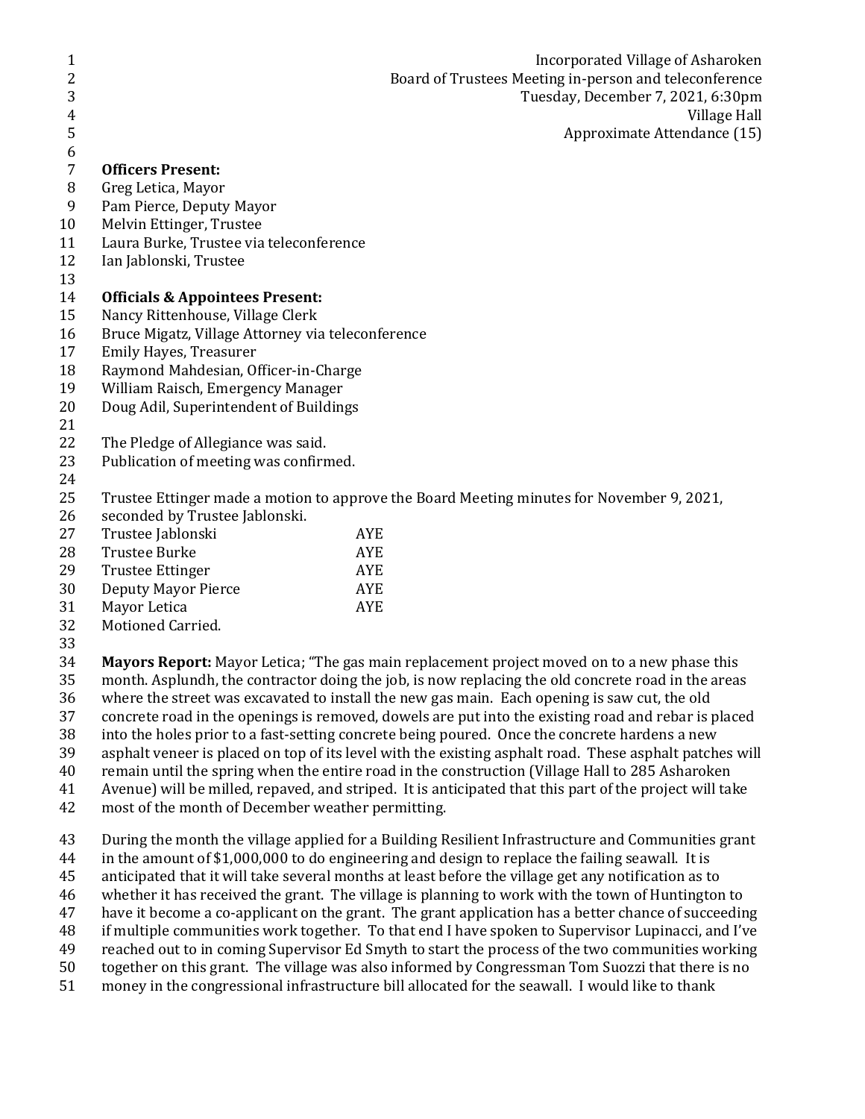| 1  |                                                                                           | Incorporated Village of Asharoken                 |  |  |  |
|----|-------------------------------------------------------------------------------------------|---------------------------------------------------|--|--|--|
| 2  | Board of Trustees Meeting in-person and teleconference                                    |                                                   |  |  |  |
| 3  |                                                                                           | Tuesday, December 7, 2021, 6:30pm                 |  |  |  |
| 4  |                                                                                           | Village Hall                                      |  |  |  |
| 5  |                                                                                           | Approximate Attendance (15)                       |  |  |  |
| 6  |                                                                                           |                                                   |  |  |  |
| 7  | <b>Officers Present:</b>                                                                  |                                                   |  |  |  |
| 8  | Greg Letica, Mayor                                                                        |                                                   |  |  |  |
| 9  | Pam Pierce, Deputy Mayor                                                                  |                                                   |  |  |  |
| 10 | Melvin Ettinger, Trustee                                                                  |                                                   |  |  |  |
| 11 | Laura Burke, Trustee via teleconference                                                   |                                                   |  |  |  |
| 12 | Ian Jablonski, Trustee                                                                    |                                                   |  |  |  |
| 13 |                                                                                           |                                                   |  |  |  |
| 14 | <b>Officials &amp; Appointees Present:</b>                                                |                                                   |  |  |  |
| 15 |                                                                                           | Nancy Rittenhouse, Village Clerk                  |  |  |  |
| 16 |                                                                                           | Bruce Migatz, Village Attorney via teleconference |  |  |  |
| 17 | Emily Hayes, Treasurer                                                                    |                                                   |  |  |  |
| 18 | Raymond Mahdesian, Officer-in-Charge                                                      |                                                   |  |  |  |
| 19 | William Raisch, Emergency Manager                                                         |                                                   |  |  |  |
| 20 | Doug Adil, Superintendent of Buildings                                                    |                                                   |  |  |  |
| 21 |                                                                                           |                                                   |  |  |  |
| 22 | The Pledge of Allegiance was said.                                                        |                                                   |  |  |  |
| 23 | Publication of meeting was confirmed.                                                     |                                                   |  |  |  |
| 24 |                                                                                           |                                                   |  |  |  |
| 25 | Trustee Ettinger made a motion to approve the Board Meeting minutes for November 9, 2021, |                                                   |  |  |  |
| 26 | seconded by Trustee Jablonski.                                                            |                                                   |  |  |  |
| 27 | Trustee Jablonski                                                                         | <b>AYE</b>                                        |  |  |  |
| 28 | <b>Trustee Burke</b>                                                                      | <b>AYE</b>                                        |  |  |  |
| 29 | <b>Trustee Ettinger</b>                                                                   | <b>AYE</b>                                        |  |  |  |
| 30 | <b>Deputy Mayor Pierce</b>                                                                | <b>AYE</b>                                        |  |  |  |
| 31 | Mayor Letica                                                                              | <b>AYE</b>                                        |  |  |  |

- Motioned Carried.
- 

 **Mayors Report:** Mayor Letica; "The gas main replacement project moved on to a new phase this month. Asplundh, the contractor doing the job, is now replacing the old concrete road in the areas where the street was excavated to install the new gas main. Each opening is saw cut, the old concrete road in the openings is removed, dowels are put into the existing road and rebar is placed into the holes prior to a fast-setting concrete being poured. Once the concrete hardens a new asphalt veneer is placed on top of its level with the existing asphalt road. These asphalt patches will

- remain until the spring when the entire road in the construction (Village Hall to 285 Asharoken
- Avenue) will be milled, repaved, and striped. It is anticipated that this part of the project will take
- most of the month of December weather permitting.
- During the month the village applied for a Building Resilient Infrastructure and Communities grant
- in the amount of \$1,000,000 to do engineering and design to replace the failing seawall. It is
- anticipated that it will take several months at least before the village get any notification as to
- whether it has received the grant. The village is planning to work with the town of Huntington to
- have it become a co-applicant on the grant. The grant application has a better chance of succeeding
- if multiple communities work together. To that end I have spoken to Supervisor Lupinacci, and I've
- reached out to in coming Supervisor Ed Smyth to start the process of the two communities working
- together on this grant. The village was also informed by Congressman Tom Suozzi that there is no
- money in the congressional infrastructure bill allocated for the seawall. I would like to thank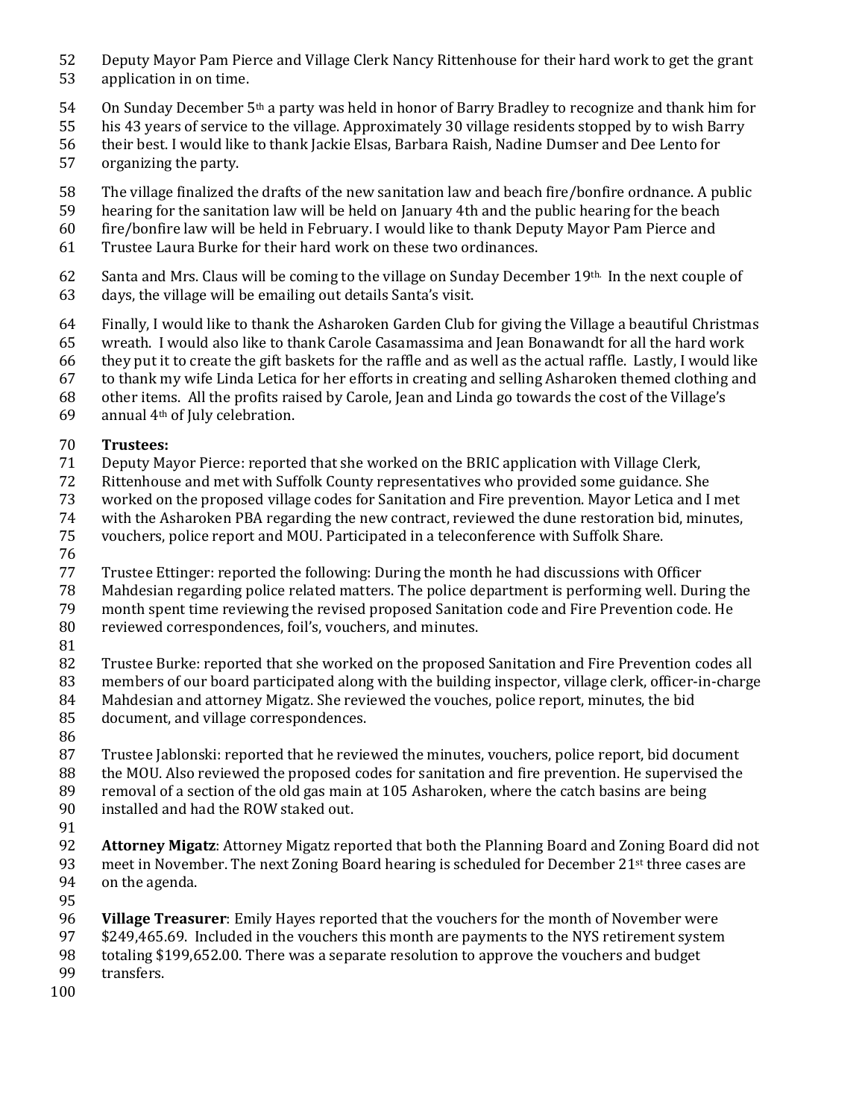- Deputy Mayor Pam Pierce and Village Clerk Nancy Rittenhouse for their hard work to get the grant
- application in on time.
- 54 On Sunday December 5<sup>th</sup> a party was held in honor of Barry Bradley to recognize and thank him for
- his 43 years of service to the village. Approximately 30 village residents stopped by to wish Barry
- their best. I would like to thank Jackie Elsas, Barbara Raish, Nadine Dumser and Dee Lento for
- organizing the party.
- The village finalized the drafts of the new sanitation law and beach fire/bonfire ordnance. A public
- hearing for the sanitation law will be held on January 4th and the public hearing for the beach
- fire/bonfire law will be held in February. I would like to thank Deputy Mayor Pam Pierce and
- Trustee Laura Burke for their hard work on these two ordinances.
- 62 Santa and Mrs. Claus will be coming to the village on Sunday December 19th. In the next couple of
- days, the village will be emailing out details Santa's visit.
- Finally, I would like to thank the Asharoken Garden Club for giving the Village a beautiful Christmas
- wreath. I would also like to thank Carole Casamassima and Jean Bonawandt for all the hard work
- they put it to create the gift baskets for the raffle and as well as the actual raffle. Lastly, I would like
- to thank my wife Linda Letica for her efforts in creating and selling Asharoken themed clothing and
- other items. All the profits raised by Carole, Jean and Linda go towards the cost of the Village's
- 69 annual  $4<sup>th</sup>$  of July celebration.

## **Trustees:**

- Deputy Mayor Pierce: reported that she worked on the BRIC application with Village Clerk,
- Rittenhouse and met with Suffolk County representatives who provided some guidance. She
- worked on the proposed village codes for Sanitation and Fire prevention. Mayor Letica and I met
- with the Asharoken PBA regarding the new contract, reviewed the dune restoration bid, minutes,
- vouchers, police report and MOU. Participated in a teleconference with Suffolk Share.
- 
- Trustee Ettinger: reported the following: During the month he had discussions with Officer
- Mahdesian regarding police related matters. The police department is performing well. During the
- month spent time reviewing the revised proposed Sanitation code and Fire Prevention code. He
- reviewed correspondences, foil's, vouchers, and minutes.
- 

Trustee Burke: reported that she worked on the proposed Sanitation and Fire Prevention codes all

- members of our board participated along with the building inspector, village clerk, officer-in-charge Mahdesian and attorney Migatz. She reviewed the vouches, police report, minutes, the bid
- document, and village correspondences.
- 
- Trustee Jablonski: reported that he reviewed the minutes, vouchers, police report, bid document the MOU. Also reviewed the proposed codes for sanitation and fire prevention. He supervised the
- removal of a section of the old gas main at 105 Asharoken, where the catch basins are being
- installed and had the ROW staked out.
- 
- **Attorney Migatz**: Attorney Migatz reported that both the Planning Board and Zoning Board did not 93 meet in November. The next Zoning Board hearing is scheduled for December  $21<sup>st</sup>$  three cases are on the agenda.
- 
- **Village Treasurer**: Emily Hayes reported that the vouchers for the month of November were
- \$249,465.69. Included in the vouchers this month are payments to the NYS retirement system
- totaling \$199,652.00. There was a separate resolution to approve the vouchers and budget transfers.
- 
-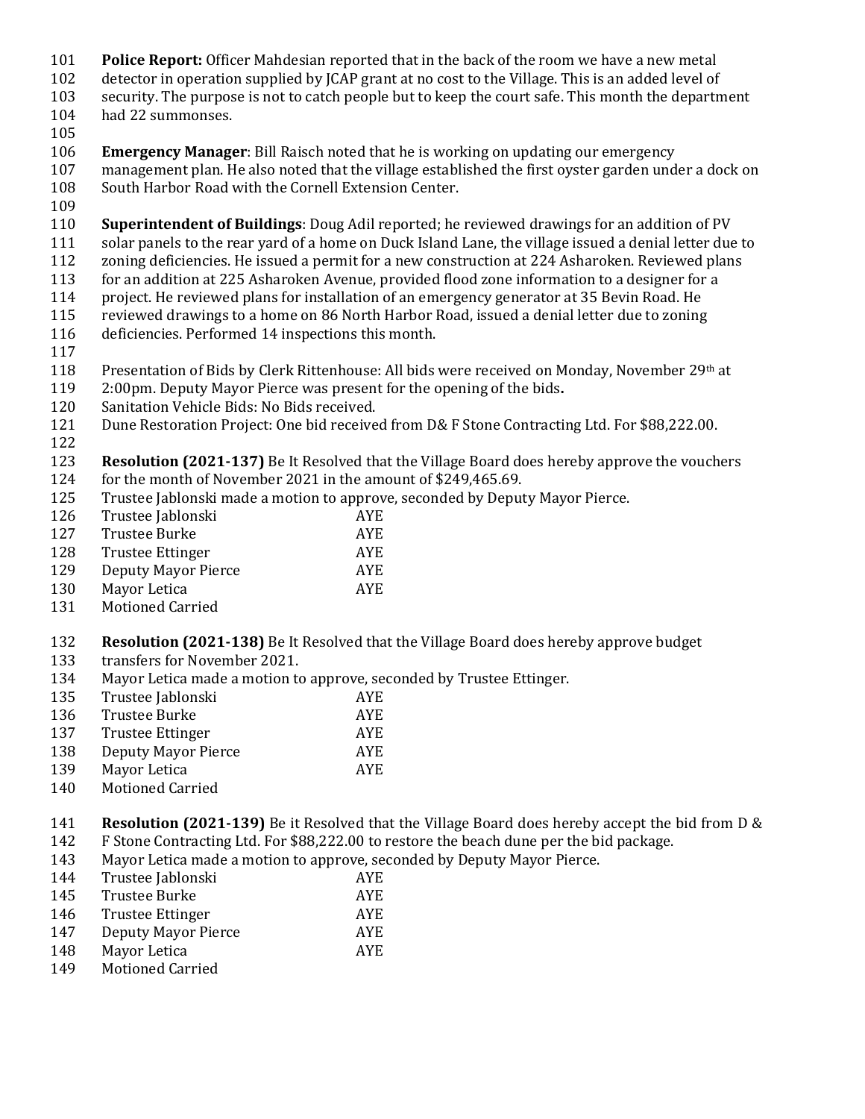- **Police Report:** Officer Mahdesian reported that in the back of the room we have a new metal
- detector in operation supplied by JCAP grant at no cost to the Village. This is an added level of
- security. The purpose is not to catch people but to keep the court safe. This month the department
- had 22 summonses.
- 
- **Emergency Manager**: Bill Raisch noted that he is working on updating our emergency
- management plan. He also noted that the village established the first oyster garden under a dock on South Harbor Road with the Cornell Extension Center.
- 
- **Superintendent of Buildings**: Doug Adil reported; he reviewed drawings for an addition of PV
- solar panels to the rear yard of a home on Duck Island Lane, the village issued a denial letter due to
- zoning deficiencies. He issued a permit for a new construction at 224 Asharoken. Reviewed plans
- for an addition at 225 Asharoken Avenue, provided flood zone information to a designer for a
- project. He reviewed plans for installation of an emergency generator at 35 Bevin Road. He
- reviewed drawings to a home on 86 North Harbor Road, issued a denial letter due to zoning deficiencies. Performed 14 inspections this month.
- 
- Presentation of Bids by Clerk Rittenhouse: All bids were received on Monday, November 29th at
- 2:00pm. Deputy Mayor Pierce was present for the opening of the bids**.**
- Sanitation Vehicle Bids: No Bids received.
- Dune Restoration Project: One bid received from D& F Stone Contracting Ltd. For \$88,222.00.
- 
- **Resolution (2021-137)** Be It Resolved that the Village Board does hereby approve the vouchers for the month of November 2021 in the amount of \$249,465.69.
- Trustee Jablonski made a motion to approve, seconded by Deputy Mayor Pierce.
- Trustee Jablonski AYE
- Trustee Burke AYE
- 128 Trustee Ettinger AYE
- Deputy Mayor Pierce AYE
- Mayor Letica AYE
- Motioned Carried

# **Resolution (2021-138)** Be It Resolved that the Village Board does hereby approve budget

- transfers for November 2021.
- Mayor Letica made a motion to approve, seconded by Trustee Ettinger.
- Trustee Jablonski AYE
- Trustee Burke AYE
- 137 Trustee Ettinger AYE
- Deputy Mayor Pierce AYE
- 139 Mayor Letica AYE
- Motioned Carried

 **Resolution (2021-139)** Be it Resolved that the Village Board does hereby accept the bid from D & F Stone Contracting Ltd. For \$88,222.00 to restore the beach dune per the bid package.

- Mayor Letica made a motion to approve, seconded by Deputy Mayor Pierce.
- Trustee Jablonski AYE
- Trustee Burke AYE
- 146 Trustee Ettinger AYE
- Deputy Mayor Pierce AYE
- Mayor Letica AYE
- Motioned Carried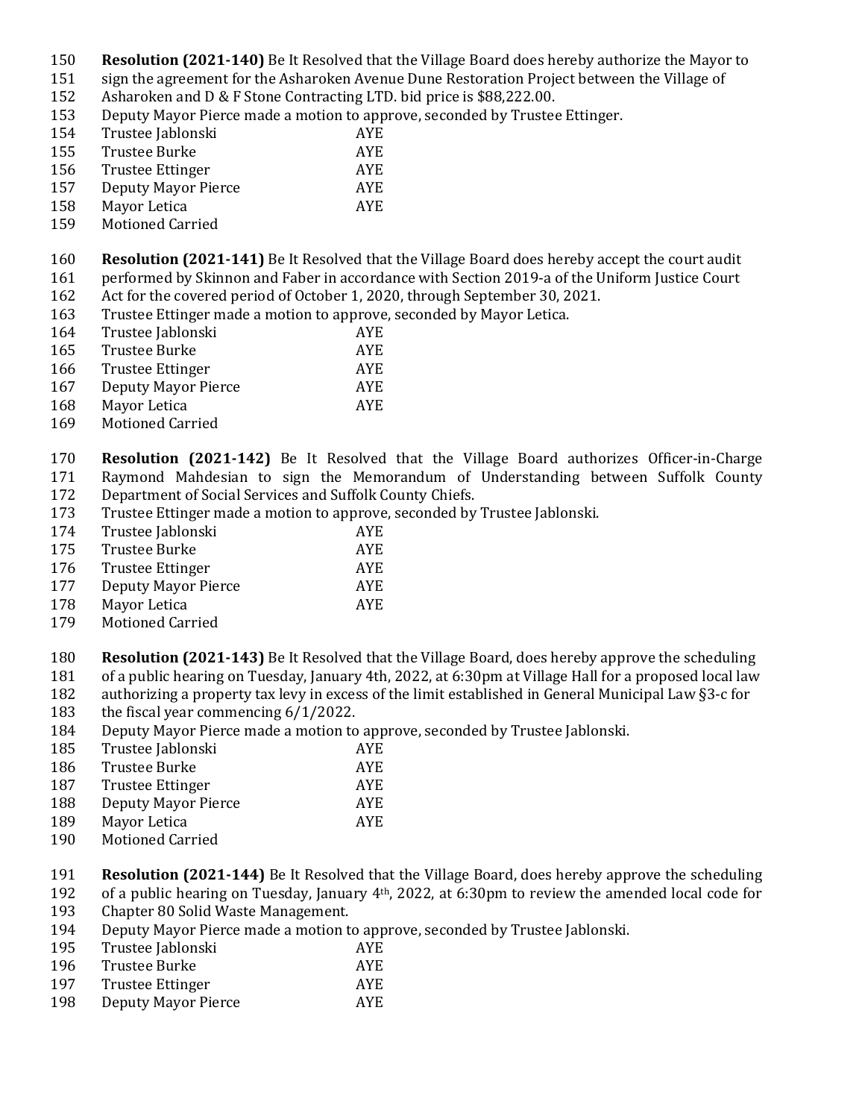- **Resolution (2021-140)** Be It Resolved that the Village Board does hereby authorize the Mayor to
- sign the agreement for the Asharoken Avenue Dune Restoration Project between the Village of
- Asharoken and D & F Stone Contracting LTD. bid price is \$88,222.00.
- Deputy Mayor Pierce made a motion to approve, seconded by Trustee Ettinger.
- Trustee Jablonski AYE
- Trustee Burke AYE
- Trustee Ettinger AYE
- Deputy Mayor Pierce AYE
- Mayor Letica AYE
- Motioned Carried
- **Resolution (2021-141)** Be It Resolved that the Village Board does hereby accept the court audit performed by Skinnon and Faber in accordance with Section 2019-a of the Uniform Justice Court
- Act for the covered period of October 1, 2020, through September 30, 2021.
- Trustee Ettinger made a motion to approve, seconded by Mayor Letica.
- Trustee Jablonski AYE
- Trustee Burke AYE
- Trustee Ettinger AYE
- Deputy Mayor Pierce AYE
- Mayor Letica AYE
- Motioned Carried
- **Resolution (2021-142)** Be It Resolved that the Village Board authorizes Officer-in-Charge Raymond Mahdesian to sign the Memorandum of Understanding between Suffolk County Department of Social Services and Suffolk County Chiefs.
- Trustee Ettinger made a motion to approve, seconded by Trustee Jablonski.
- Trustee Jablonski AYE
- Trustee Burke AYE
- Trustee Ettinger AYE
- Deputy Mayor Pierce AYE
- 178 Mayor Letica AYE
- Motioned Carried
- **Resolution (2021-143)** Be It Resolved that the Village Board, does hereby approve the scheduling
- of a public hearing on Tuesday, January 4th, 2022, at 6:30pm at Village Hall for a proposed local law
- authorizing a property tax levy in excess of the limit established in General Municipal Law §3-c for
- the fiscal year commencing 6/1/2022.
- Deputy Mayor Pierce made a motion to approve, seconded by Trustee Jablonski.
- Trustee Jablonski AYE
- Trustee Burke AYE
- 187 Trustee Ettinger AYE
- Deputy Mayor Pierce AYE
- Mayor Letica AYE
- Motioned Carried
- **Resolution (2021-144)** Be It Resolved that the Village Board, does hereby approve the scheduling
- 192 of a public hearing on Tuesday, January  $4<sup>th</sup>$ , 2022, at 6:30pm to review the amended local code for Chapter 80 Solid Waste Management.
- Deputy Mayor Pierce made a motion to approve, seconded by Trustee Jablonski.
- Trustee Jablonski AYE
- Trustee Burke AYE
- 197 Trustee Ettinger AYE
- Deputy Mayor Pierce AYE